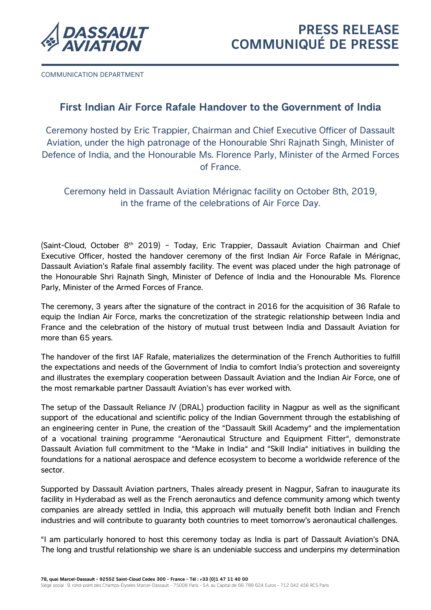

COMMUNICATION DEPARTMENT

# **First Indian Air Force Rafale Handover to the Government of India**

Ceremony hosted by Eric Trappier, Chairman and Chief Executive Officer of Dassault Aviation, under the high patronage of the Honourable Shri Rajnath Singh, Minister of Defence of India, and the Honourable Ms. Florence Parly, Minister of the Armed Forces of France.

Ceremony held in Dassault Aviation Mérignac facility on October 8th, 2019, in the frame of the celebrations of Air Force Day.

(Saint-Cloud, October  $8<sup>th</sup>$  2019) – Today, Eric Trappier, Dassault Aviation Chairman and Chief Executive Officer, hosted the handover ceremony of the first Indian Air Force Rafale in Mérignac, Dassault Aviation's Rafale final assembly facility. The event was placed under the high patronage of the Honourable Shri Rajnath Singh, Minister of Defence of India and the Honourable Ms. Florence Parly, Minister of the Armed Forces of France.

The ceremony, 3 years after the signature of the contract in 2016 for the acquisition of 36 Rafale to equip the Indian Air Force, marks the concretization of the strategic relationship between India and France and the celebration of the history of mutual trust between India and Dassault Aviation for more than 65 years.

The handover of the first IAF Rafale, materializes the determination of the French Authorities to fulfill the expectations and needs of the Government of India to comfort India's protection and sovereignty and illustrates the exemplary cooperation between Dassault Aviation and the Indian Air Force, one of the most remarkable partner Dassault Aviation's has ever worked with.

The setup of the Dassault Reliance JV (DRAL) production facility in Nagpur as well as the significant support of the educational and scientific policy of the Indian Government through the establishing of an engineering center in Pune, the creation of the "Dassault Skill Academy" and the implementation of a vocational training programme "Aeronautical Structure and Equipment Fitter", demonstrate Dassault Aviation full commitment to the "Make in India" and "Skill India" initiatives in building the foundations for a national aerospace and defence ecosystem to become a worldwide reference of the sector.

Supported by Dassault Aviation partners, Thales already present in Nagpur, Safran to inaugurate its facility in Hyderabad as well as the French aeronautics and defence community among which twenty companies are already settled in India, this approach will mutually benefit both Indian and French industries and will contribute to guaranty both countries to meet tomorrow's aeronautical challenges.

"I am particularly honored to host this ceremony today as India is part of Dassault Aviation's DNA. The long and trustful relationship we share is an undeniable success and underpins my determination